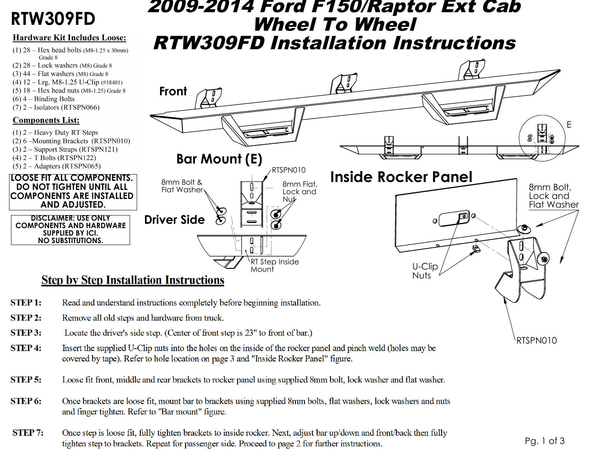# RTW309FD

#### **Hardware Kit Includes Loose:**

- $(1)$  28 Hex head bolts (M8-1.25 x 30mm) Grade 8
- $(2)$  28 Lock washers (M8) Grade 8
- $(3)$  44 Flat washers (M8) Grade 8
- (4)  $12 \text{Lrg. M8-1.25 U-Clip}$  (#18401)
- $(5)$  18 Hex head nuts (M8-1.25) Grade 8
- $(6)$  4 Binding Bolts
- $(7)$  2 Isolators (RTSPN066)

### **Components List:**

 $STEP1:$ 

- $(1)$  2 Heavy Duty RT Steps
- (2) 6 Mounting Brackets (RTSPN010)
- $(3)$  2 Support Straps (RTSPN121)
- $(4)$  2 T Bolts (RTSPN122)
- $(5)$  2 Adapters (RTSPN065)

#### **LOOSE FIT ALL COMPONENTS. DO NOT TIGHTEN UNTIL ALL COMPONENTS ARE INSTALLED** AND ADJUSTED.

**DISCLAIMER: USE ONLY COMPONENTS AND HARDWARE SUPPLIED BY ICI. NO SUBSTITUTIONS.** 

## *2009-2014 Ford F150/Raptor Ext Cab* **Wheel To Wheel RTW309FD Installation Instructions**



- **STEP 2:** Remove all old steps and hardware from truck.
- STEP 3: Locate the driver's side step. (Center of front step is 23" to front of bar.)
- Insert the supplied U-Clip nuts into the holes on the inside of the rocker panel and pinch weld (holes may be **STEP4:** covered by tape). Refer to hole location on page 3 and "Inside Rocker Panel" figure.
- **STEP 5:** Loose fit front, middle and rear brackets to rocker panel using supplied 8mm bolt, lock washer and flat washer.
- STEP 6: Once brackets are loose fit, mount bar to brackets using supplied 8mm bolts, flat washers, lock washers and nuts and finger tighten. Refer to "Bar mount" figure.
- Once step is loose fit, fully tighten brackets to inside rocker. Next, adjust bar up/down and front/back then fully **STEP 7:** tighten step to brackets. Repeat for passenger side. Proceed to page 2 for further instructions.

RTSPN010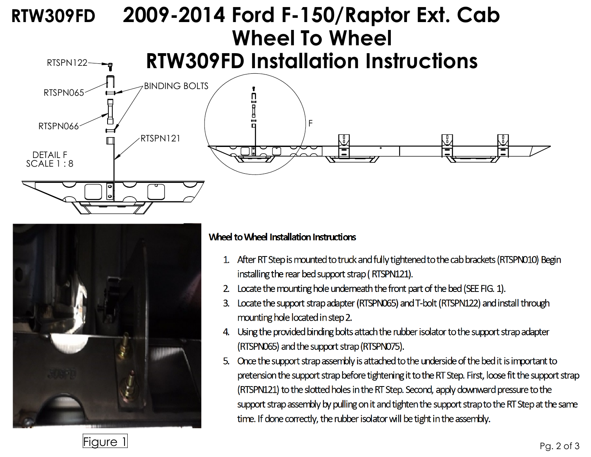# F DETAIL F  $SCAIF1:8$ RTSPN122 RTSPN065 RTSPN066 RTSPN121 BINDING BOLTS **RTW309FD 2009-2014 Ford F-150/Raptor Ext. Cab Wheel To Wheel RTW309FD Installation Instructions**



### Wheel to Wheel Installation Instructions

- 1. After RT Step is mounted to truck and fully tightened to the cab brackets (RTSPN010) Begin installing the rear bed support strap (RTSPN121).
- Locate the mounting hole underneath the front part of the bed (SEE FIG. 1).
- Locate the support strap adapter (RTSPN065) and T-bolt (RTSPN122) and install through  $\mathbf{3}$ mounting hole located in step 2.
- 4. Using the provided binding bolts attach the rubber isolator to the support strap adapter (RTSPN065) and the support strap (RTSPN075).
- 5. Once the support strap assembly is attached to the underside of the bed it is important to pretension the support strap before tightening it to the RT Step. First, loose fit the support strap (RTSPN121) to the slotted holes in the RT Step. Second, apply downward pressure to the support strap assembly by pulling on it and tighten the support strap to the RT Step at the same time. If done correctly, the rubber isolator will be tight in the assembly.